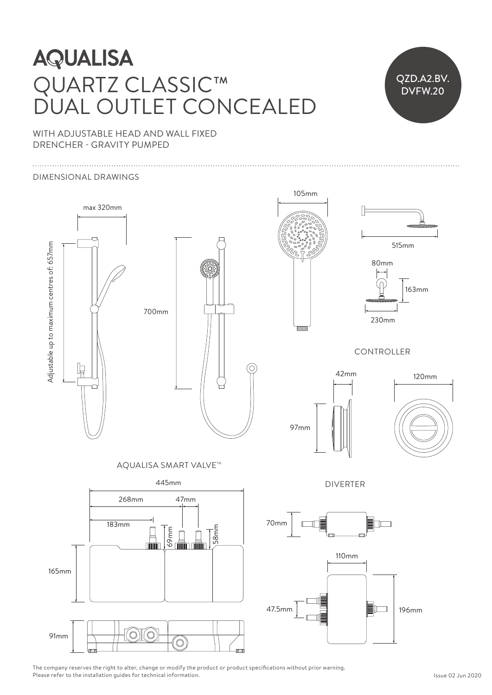# **AQUALISA** QUARTZ CLASSIC™ Ceiling arm can be cut shorter to suit ceiling height arm can be cut shorter to suit ceiling her shorter to suit ceiling her shorter to suit ceiling her shorter to suit ceiling her shorter to suit ceiling her shorter to su DUAL OUTLET CONCEALED ILIAL OUTLET CONCEA

515mm 230mm 230mm

QZD.A2.BV. DVFW.20

105mm

Ceiling arm can be cut shorter to suit ceiling height

WITH ADJUSTABLE HEAD AND WALL FIXED DRENCHER - GRAVITY PUMPED

### DIMENSIONAL DRAWINGS



The company reserves the right to alter, change or modify the product or product specifications without prior warning. Please refer to the installation guides for technical information.  $\mathfrak{S}^n$